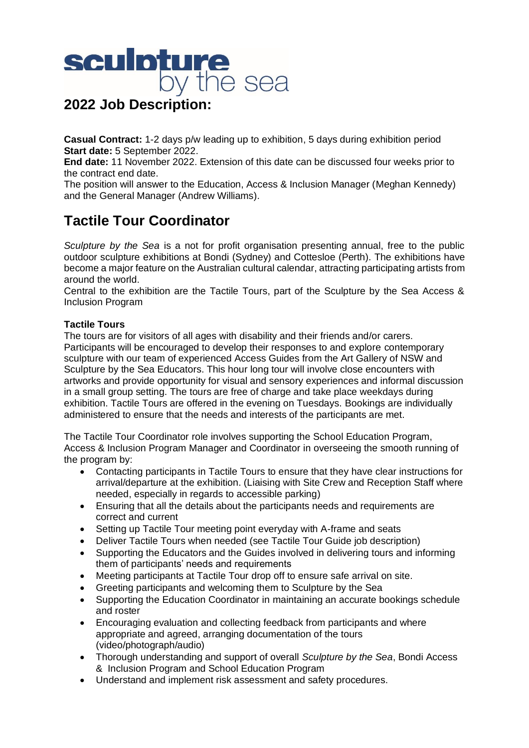

**Casual Contract:** 1-2 days p/w leading up to exhibition, 5 days during exhibition period **Start date:** 5 September 2022.

**End date:** 11 November 2022. Extension of this date can be discussed four weeks prior to the contract end date.

The position will answer to the Education, Access & Inclusion Manager (Meghan Kennedy) and the General Manager (Andrew Williams).

# **Tactile Tour Coordinator**

*Sculpture by the Sea* is a not for profit organisation presenting annual, free to the public outdoor sculpture exhibitions at Bondi (Sydney) and Cottesloe (Perth). The exhibitions have become a major feature on the Australian cultural calendar, attracting participating artists from around the world.

Central to the exhibition are the Tactile Tours, part of the Sculpture by the Sea Access & Inclusion Program

# **Tactile Tours**

The tours are for visitors of all ages with disability and their friends and/or carers. Participants will be encouraged to develop their responses to and explore contemporary sculpture with our team of experienced Access Guides from the Art Gallery of NSW and Sculpture by the Sea Educators. This hour long tour will involve close encounters with artworks and provide opportunity for visual and sensory experiences and informal discussion in a small group setting. The tours are free of charge and take place weekdays during exhibition. Tactile Tours are offered in the evening on Tuesdays. Bookings are individually administered to ensure that the needs and interests of the participants are met.

The Tactile Tour Coordinator role involves supporting the School Education Program, Access & Inclusion Program Manager and Coordinator in overseeing the smooth running of the program by:

- Contacting participants in Tactile Tours to ensure that they have clear instructions for arrival/departure at the exhibition. (Liaising with Site Crew and Reception Staff where needed, especially in regards to accessible parking)
- Ensuring that all the details about the participants needs and requirements are correct and current
- Setting up Tactile Tour meeting point everyday with A-frame and seats
- Deliver Tactile Tours when needed (see Tactile Tour Guide job description)
- Supporting the Educators and the Guides involved in delivering tours and informing them of participants' needs and requirements
- Meeting participants at Tactile Tour drop off to ensure safe arrival on site.
- Greeting participants and welcoming them to Sculpture by the Sea
- Supporting the Education Coordinator in maintaining an accurate bookings schedule and roster
- Encouraging evaluation and collecting feedback from participants and where appropriate and agreed, arranging documentation of the tours (video/photograph/audio)
- Thorough understanding and support of overall *Sculpture by the Sea*, Bondi Access & Inclusion Program and School Education Program
- Understand and implement risk assessment and safety procedures.